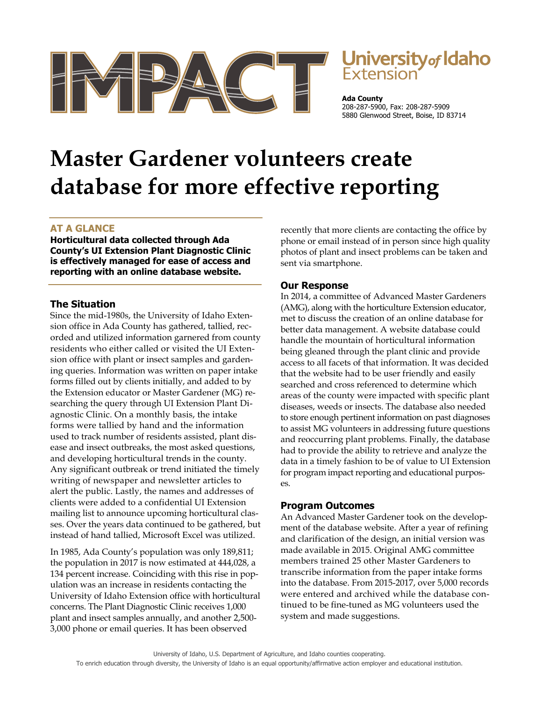

# **Jniversity** of Idaho

**Ada County** 208-287-5900, Fax: 208-287-5909 5880 Glenwood Street, Boise, ID 83714

# **Master Gardener volunteers create database for more effective reporting**

### **AT A GLANCE**

**Horticultural data collected through Ada County's UI Extension Plant Diagnostic Clinic is effectively managed for ease of access and reporting with an online database website.** 

#### **The Situation**

Since the mid-1980s, the University of Idaho Extension office in Ada County has gathered, tallied, recorded and utilized information garnered from county residents who either called or visited the UI Extension office with plant or insect samples and gardening queries. Information was written on paper intake forms filled out by clients initially, and added to by the Extension educator or Master Gardener (MG) researching the query through UI Extension Plant Diagnostic Clinic. On a monthly basis, the intake forms were tallied by hand and the information used to track number of residents assisted, plant disease and insect outbreaks, the most asked questions, and developing horticultural trends in the county. Any significant outbreak or trend initiated the timely writing of newspaper and newsletter articles to alert the public. Lastly, the names and addresses of clients were added to a confidential UI Extension mailing list to announce upcoming horticultural classes. Over the years data continued to be gathered, but instead of hand tallied, Microsoft Excel was utilized.

In 1985, Ada County's population was only 189,811; the population in 2017 is now estimated at 444,028, a 134 percent increase. Coinciding with this rise in population was an increase in residents contacting the University of Idaho Extension office with horticultural concerns. The Plant Diagnostic Clinic receives 1,000 plant and insect samples annually, and another 2,500- 3,000 phone or email queries. It has been observed

recently that more clients are contacting the office by phone or email instead of in person since high quality photos of plant and insect problems can be taken and sent via smartphone.

## **Our Response**

In 2014, a committee of Advanced Master Gardeners (AMG), along with the horticulture Extension educator, met to discuss the creation of an online database for better data management. A website database could handle the mountain of horticultural information being gleaned through the plant clinic and provide access to all facets of that information. It was decided that the website had to be user friendly and easily searched and cross referenced to determine which areas of the county were impacted with specific plant diseases, weeds or insects. The database also needed to store enough pertinent information on past diagnoses to assist MG volunteers in addressing future questions and reoccurring plant problems. Finally, the database had to provide the ability to retrieve and analyze the data in a timely fashion to be of value to UI Extension for program impact reporting and educational purposes.

### **Program Outcomes**

An Advanced Master Gardener took on the development of the database website. After a year of refining and clarification of the design, an initial version was made available in 2015. Original AMG committee members trained 25 other Master Gardeners to transcribe information from the paper intake forms into the database. From 2015-2017, over 5,000 records were entered and archived while the database continued to be fine-tuned as MG volunteers used the system and made suggestions.